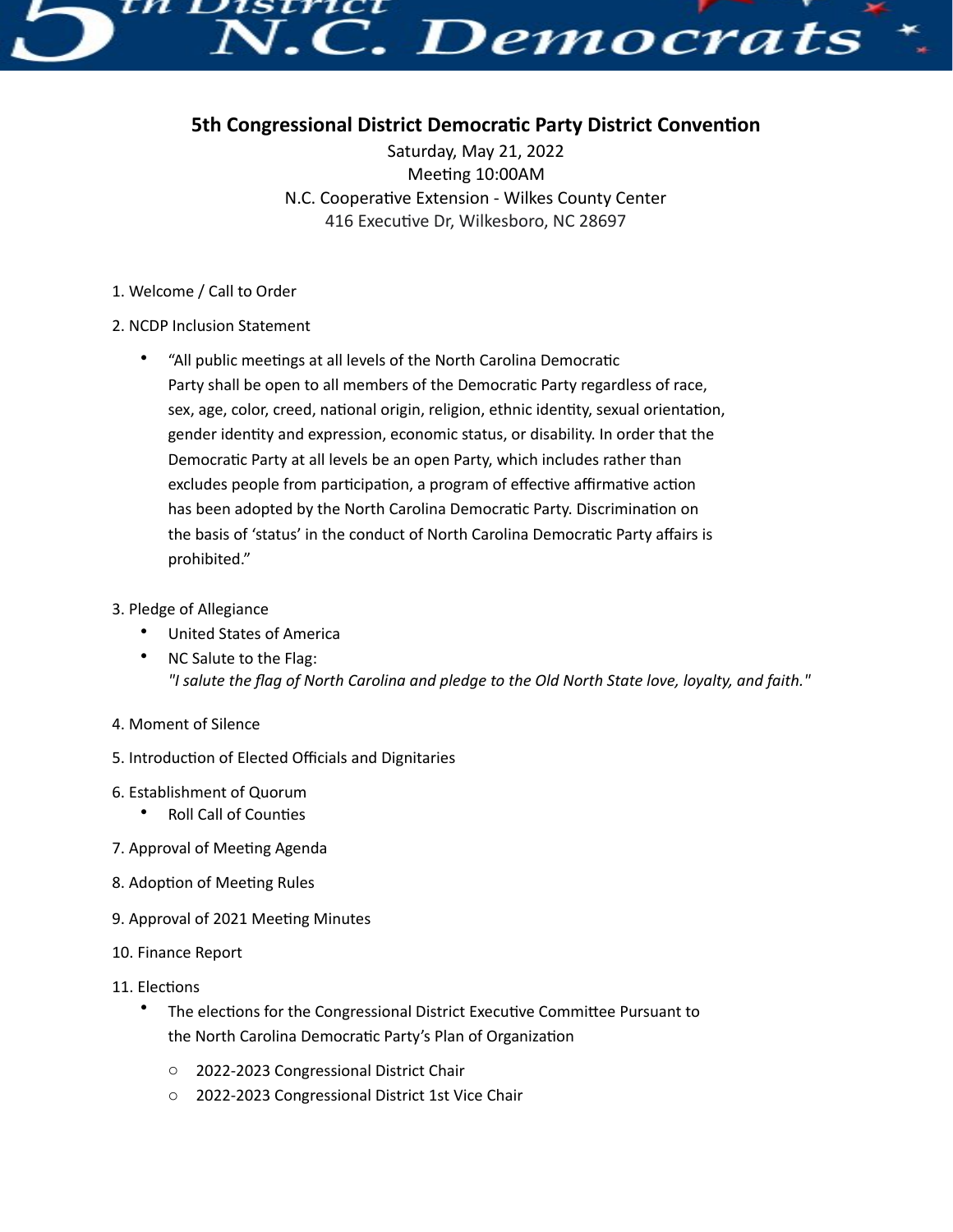

## **5th Congressional District Democratic Party District Convention**

Saturday, May 21, 2022 Meeting 10:00AM N.C. Cooperative Extension - Wilkes County Center 416 Executive Dr, Wilkesboro, NC 28697

- 1. Welcome / Call to Order
- 2. NCDP Inclusion Statement
	- "All public meetings at all levels of the North Carolina Democratic Party shall be open to all members of the Democratic Party regardless of race, sex, age, color, creed, national origin, religion, ethnic identity, sexual orientation, gender identity and expression, economic status, or disability. In order that the Democratic Party at all levels be an open Party, which includes rather than excludes people from participation, a program of effective affirmative action has been adopted by the North Carolina Democratic Party. Discrimination on the basis of 'status' in the conduct of North Carolina Democratic Party affairs is prohibited."
- 3. Pledge of Allegiance
	- United States of America
	- NC Salute to the Flag: *"I salute the flag of North Carolina and pledge to the Old North State love, loyalty, and faith."*
- 4. Moment of Silence
- 5. Introduction of Elected Officials and Dignitaries
- 6. Establishment of Quorum
	- Roll Call of Counties
- 7. Approval of Meeting Agenda
- 8. Adoption of Meeting Rules
- 9. Approval of 2021 Meeting Minutes
- 10. Finance Report
- 11. Elections
	- The elections for the Congressional District Executive Committee Pursuant to the North Carolina Democratic Party's Plan of Organization
		- $\circ$  2022-2023 Congressional District Chair
		- 2022-2023 Congressional District 1st Vice Chair